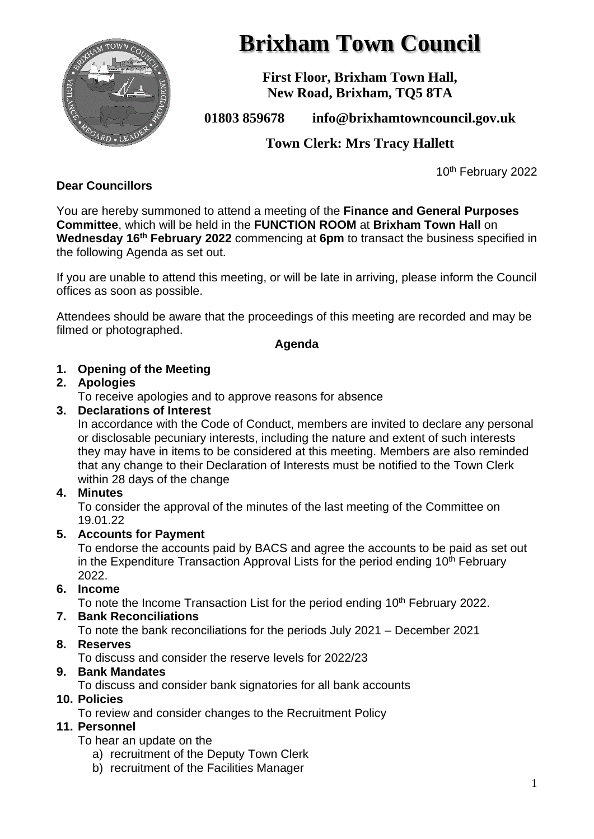

# **Brixham Town Council**

**First Floor, Brixham Town Hall, New Road, Brixham, TQ5 8TA**

# **01803 859678 info@brixhamtowncouncil.gov.uk**

**Town Clerk: Mrs Tracy Hallett**

10<sup>th</sup> February 2022

## **Dear Councillors**

You are hereby summoned to attend a meeting of the **Finance and General Purposes Committee**, which will be held in the **FUNCTION ROOM** at **Brixham Town Hall** on **Wednesday 16th February 2022** commencing at **6pm** to transact the business specified in the following Agenda as set out.

If you are unable to attend this meeting, or will be late in arriving, please inform the Council offices as soon as possible.

Attendees should be aware that the proceedings of this meeting are recorded and may be filmed or photographed.

#### **Agenda**

#### **1. Opening of the Meeting**

#### **2. Apologies**

To receive apologies and to approve reasons for absence

#### **3. Declarations of Interest**

In accordance with the Code of Conduct, members are invited to declare any personal or disclosable pecuniary interests, including the nature and extent of such interests they may have in items to be considered at this meeting. Members are also reminded that any change to their Declaration of Interests must be notified to the Town Clerk within 28 days of the change

#### **4. Minutes**

To consider the approval of the minutes of the last meeting of the Committee on 19.01.22

#### **5. Accounts for Payment**

To endorse the accounts paid by BACS and agree the accounts to be paid as set out in the Expenditure Transaction Approval Lists for the period ending  $10<sup>th</sup>$  February 2022.

#### **6. Income**

To note the Income Transaction List for the period ending 10<sup>th</sup> February 2022.

#### **7. Bank Reconciliations**

To note the bank reconciliations for the periods July 2021 – December 2021

# **8. Reserves**

To discuss and consider the reserve levels for 2022/23

# **9. Bank Mandates**

To discuss and consider bank signatories for all bank accounts

# **10. Policies**

To review and consider changes to the Recruitment Policy

# **11. Personnel**

To hear an update on the

- a) recruitment of the Deputy Town Clerk
- b) recruitment of the Facilities Manager